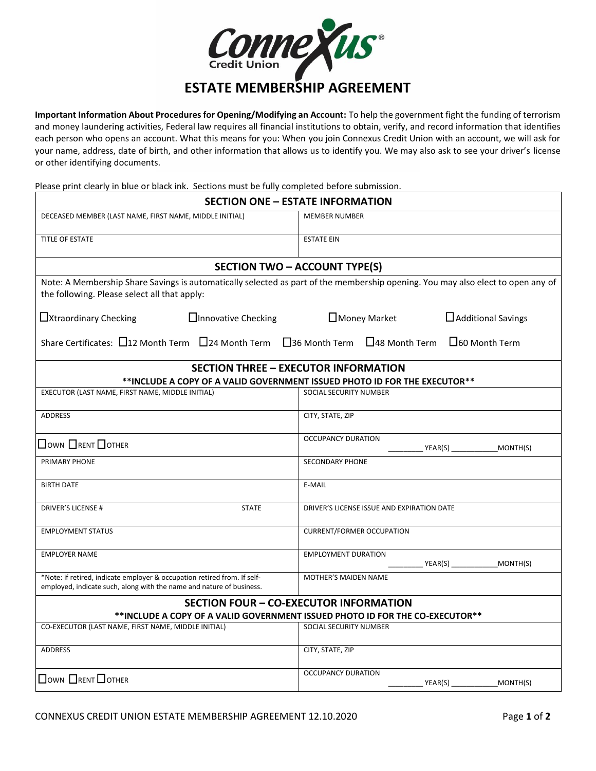

**Important Information About Procedures for Opening/Modifying an Account:** To help the government fight the funding of terrorism and money laundering activities, Federal law requires all financial institutions to obtain, verify, and record information that identifies each person who opens an account. What this means for you: When you join Connexus Credit Union with an account, we will ask for your name, address, date of birth, and other information that allows us to identify you. We may also ask to see your driver's license or other identifying documents.

Please print clearly in blue or black ink. Sections must be fully completed before submission.

|                                                                                                                                                                                 | <b>SECTION ONE - ESTATE INFORMATION</b>                                        |                                      |                                                                                                                                                                                                                                                                                                                                                     |  |                                      |  |
|---------------------------------------------------------------------------------------------------------------------------------------------------------------------------------|--------------------------------------------------------------------------------|--------------------------------------|-----------------------------------------------------------------------------------------------------------------------------------------------------------------------------------------------------------------------------------------------------------------------------------------------------------------------------------------------------|--|--------------------------------------|--|
| DECEASED MEMBER (LAST NAME, FIRST NAME, MIDDLE INITIAL)                                                                                                                         |                                                                                | <b>MEMBER NUMBER</b>                 |                                                                                                                                                                                                                                                                                                                                                     |  |                                      |  |
| TITLE OF ESTATE                                                                                                                                                                 | <b>ESTATE EIN</b>                                                              |                                      |                                                                                                                                                                                                                                                                                                                                                     |  |                                      |  |
|                                                                                                                                                                                 |                                                                                | <b>SECTION TWO - ACCOUNT TYPE(S)</b> |                                                                                                                                                                                                                                                                                                                                                     |  |                                      |  |
| Note: A Membership Share Savings is automatically selected as part of the membership opening. You may also elect to open any of<br>the following. Please select all that apply: |                                                                                |                                      |                                                                                                                                                                                                                                                                                                                                                     |  |                                      |  |
| $\Box$ Xtraordinary Checking                                                                                                                                                    | □Innovative Checking                                                           |                                      | $\square$ Money Market                                                                                                                                                                                                                                                                                                                              |  | $\Box$ Additional Savings            |  |
| Share Certificates: □12 Month Term □24 Month Term □36 Month Term □48 Month Term □60 Month Term                                                                                  |                                                                                |                                      |                                                                                                                                                                                                                                                                                                                                                     |  |                                      |  |
|                                                                                                                                                                                 | <b>SECTION THREE - EXECUTOR INFORMATION</b>                                    |                                      |                                                                                                                                                                                                                                                                                                                                                     |  |                                      |  |
|                                                                                                                                                                                 | ** INCLUDE A COPY OF A VALID GOVERNMENT ISSUED PHOTO ID FOR THE EXECUTOR **    |                                      |                                                                                                                                                                                                                                                                                                                                                     |  |                                      |  |
| EXECUTOR (LAST NAME, FIRST NAME, MIDDLE INITIAL)                                                                                                                                |                                                                                | SOCIAL SECURITY NUMBER               |                                                                                                                                                                                                                                                                                                                                                     |  |                                      |  |
| <b>ADDRESS</b>                                                                                                                                                                  |                                                                                | CITY, STATE, ZIP                     |                                                                                                                                                                                                                                                                                                                                                     |  |                                      |  |
| <b>□OWN</b> □RENT □OTHER                                                                                                                                                        |                                                                                | <b>OCCUPANCY DURATION</b>            |                                                                                                                                                                                                                                                                                                                                                     |  | __ YEAR(S) _________________MONTH(S) |  |
| PRIMARY PHONE                                                                                                                                                                   |                                                                                | <b>SECONDARY PHONE</b>               |                                                                                                                                                                                                                                                                                                                                                     |  |                                      |  |
| <b>BIRTH DATE</b>                                                                                                                                                               |                                                                                | E-MAIL                               |                                                                                                                                                                                                                                                                                                                                                     |  |                                      |  |
| <b>DRIVER'S LICENSE #</b><br><b>STATE</b>                                                                                                                                       |                                                                                |                                      | DRIVER'S LICENSE ISSUE AND EXPIRATION DATE                                                                                                                                                                                                                                                                                                          |  |                                      |  |
| <b>EMPLOYMENT STATUS</b>                                                                                                                                                        |                                                                                | <b>CURRENT/FORMER OCCUPATION</b>     |                                                                                                                                                                                                                                                                                                                                                     |  |                                      |  |
| <b>EMPLOYER NAME</b>                                                                                                                                                            |                                                                                | <b>EMPLOYMENT DURATION</b>           |                                                                                                                                                                                                                                                                                                                                                     |  | $P = \text{YEAR}(S)$ MONTH(S)        |  |
| *Note: if retired, indicate employer & occupation retired from. If self-<br>employed, indicate such, along with the name and nature of business.                                |                                                                                | MOTHER'S MAIDEN NAME                 |                                                                                                                                                                                                                                                                                                                                                     |  |                                      |  |
|                                                                                                                                                                                 | <b>SECTION FOUR - CO-EXECUTOR INFORMATION</b>                                  |                                      |                                                                                                                                                                                                                                                                                                                                                     |  |                                      |  |
|                                                                                                                                                                                 | ** INCLUDE A COPY OF A VALID GOVERNMENT ISSUED PHOTO ID FOR THE CO-EXECUTOR ** |                                      |                                                                                                                                                                                                                                                                                                                                                     |  |                                      |  |
| CO-EXECUTOR (LAST NAME, FIRST NAME, MIDDLE INITIAL)                                                                                                                             |                                                                                | SOCIAL SECURITY NUMBER               |                                                                                                                                                                                                                                                                                                                                                     |  |                                      |  |
| <b>ADDRESS</b>                                                                                                                                                                  |                                                                                | CITY, STATE, ZIP                     |                                                                                                                                                                                                                                                                                                                                                     |  |                                      |  |
| $\Box$ OWN $\Box$ RENT $\Box$ OTHER                                                                                                                                             |                                                                                | <b>OCCUPANCY DURATION</b>            | $\begin{picture}(150,10) \put(0,0){\line(1,0){10}} \put(15,0){\line(1,0){10}} \put(15,0){\line(1,0){10}} \put(15,0){\line(1,0){10}} \put(15,0){\line(1,0){10}} \put(15,0){\line(1,0){10}} \put(15,0){\line(1,0){10}} \put(15,0){\line(1,0){10}} \put(15,0){\line(1,0){10}} \put(15,0){\line(1,0){10}} \put(15,0){\line(1,0){10}} \put(15,0){\line($ |  | MONTH(S)                             |  |